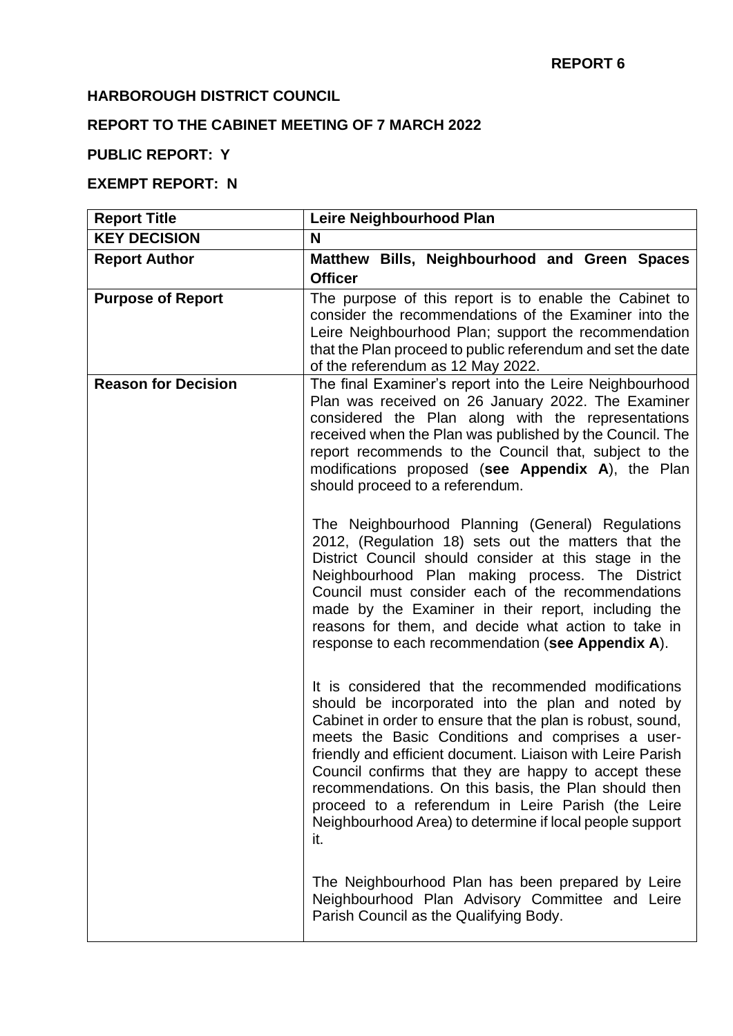#### **HARBOROUGH DISTRICT COUNCIL**

# **REPORT TO THE CABINET MEETING OF 7 MARCH 2022**

# **PUBLIC REPORT: Y**

# **EXEMPT REPORT: N**

| <b>Report Title</b>        | Leire Neighbourhood Plan                                                                                                                                                                                                                                                                                                                                                                                                                                                                                                          |
|----------------------------|-----------------------------------------------------------------------------------------------------------------------------------------------------------------------------------------------------------------------------------------------------------------------------------------------------------------------------------------------------------------------------------------------------------------------------------------------------------------------------------------------------------------------------------|
| <b>KEY DECISION</b>        | N                                                                                                                                                                                                                                                                                                                                                                                                                                                                                                                                 |
| <b>Report Author</b>       | Matthew Bills, Neighbourhood and Green Spaces<br><b>Officer</b>                                                                                                                                                                                                                                                                                                                                                                                                                                                                   |
| <b>Purpose of Report</b>   | The purpose of this report is to enable the Cabinet to<br>consider the recommendations of the Examiner into the<br>Leire Neighbourhood Plan; support the recommendation<br>that the Plan proceed to public referendum and set the date<br>of the referendum as 12 May 2022.                                                                                                                                                                                                                                                       |
| <b>Reason for Decision</b> | The final Examiner's report into the Leire Neighbourhood<br>Plan was received on 26 January 2022. The Examiner<br>considered the Plan along with the representations<br>received when the Plan was published by the Council. The<br>report recommends to the Council that, subject to the<br>modifications proposed (see Appendix A), the Plan<br>should proceed to a referendum.                                                                                                                                                 |
|                            | The Neighbourhood Planning (General) Regulations<br>2012, (Regulation 18) sets out the matters that the<br>District Council should consider at this stage in the<br>Neighbourhood Plan making process. The District<br>Council must consider each of the recommendations<br>made by the Examiner in their report, including the<br>reasons for them, and decide what action to take in<br>response to each recommendation (see Appendix A).                                                                                       |
|                            | It is considered that the recommended modifications<br>should be incorporated into the plan and noted by<br>Cabinet in order to ensure that the plan is robust, sound,<br>meets the Basic Conditions and comprises a user-<br>friendly and efficient document. Liaison with Leire Parish<br>Council confirms that they are happy to accept these<br>recommendations. On this basis, the Plan should then<br>proceed to a referendum in Leire Parish (the Leire<br>Neighbourhood Area) to determine if local people support<br>it. |
|                            | The Neighbourhood Plan has been prepared by Leire<br>Neighbourhood Plan Advisory Committee and Leire<br>Parish Council as the Qualifying Body.                                                                                                                                                                                                                                                                                                                                                                                    |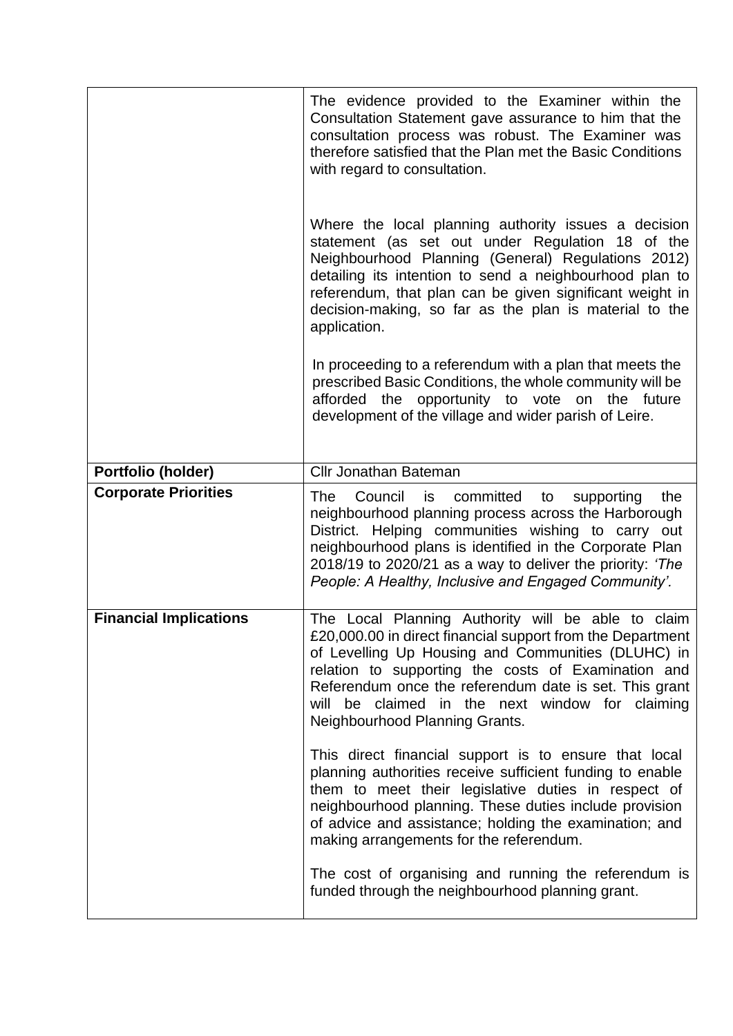|                               | The evidence provided to the Examiner within the<br>Consultation Statement gave assurance to him that the<br>consultation process was robust. The Examiner was<br>therefore satisfied that the Plan met the Basic Conditions<br>with regard to consultation.                                                                                                                 |
|-------------------------------|------------------------------------------------------------------------------------------------------------------------------------------------------------------------------------------------------------------------------------------------------------------------------------------------------------------------------------------------------------------------------|
|                               | Where the local planning authority issues a decision<br>statement (as set out under Regulation 18 of the<br>Neighbourhood Planning (General) Regulations 2012)<br>detailing its intention to send a neighbourhood plan to<br>referendum, that plan can be given significant weight in<br>decision-making, so far as the plan is material to the<br>application.              |
|                               | In proceeding to a referendum with a plan that meets the<br>prescribed Basic Conditions, the whole community will be<br>afforded the opportunity to vote on the future<br>development of the village and wider parish of Leire.                                                                                                                                              |
| Portfolio (holder)            | <b>Cllr Jonathan Bateman</b>                                                                                                                                                                                                                                                                                                                                                 |
| <b>Corporate Priorities</b>   | Council is<br>committed to<br>The<br>the<br>supporting<br>neighbourhood planning process across the Harborough<br>District. Helping communities wishing to carry out<br>neighbourhood plans is identified in the Corporate Plan<br>2018/19 to 2020/21 as a way to deliver the priority: 'The<br>People: A Healthy, Inclusive and Engaged Community'.                         |
| <b>Financial Implications</b> | The Local Planning Authority will be able to claim<br>£20,000.00 in direct financial support from the Department<br>of Levelling Up Housing and Communities (DLUHC) in<br>relation to supporting the costs of Examination and<br>Referendum once the referendum date is set. This grant<br>will be claimed in the next window for claiming<br>Neighbourhood Planning Grants. |
|                               | This direct financial support is to ensure that local<br>planning authorities receive sufficient funding to enable<br>them to meet their legislative duties in respect of<br>neighbourhood planning. These duties include provision<br>of advice and assistance; holding the examination; and<br>making arrangements for the referendum.                                     |
|                               | The cost of organising and running the referendum is<br>funded through the neighbourhood planning grant.                                                                                                                                                                                                                                                                     |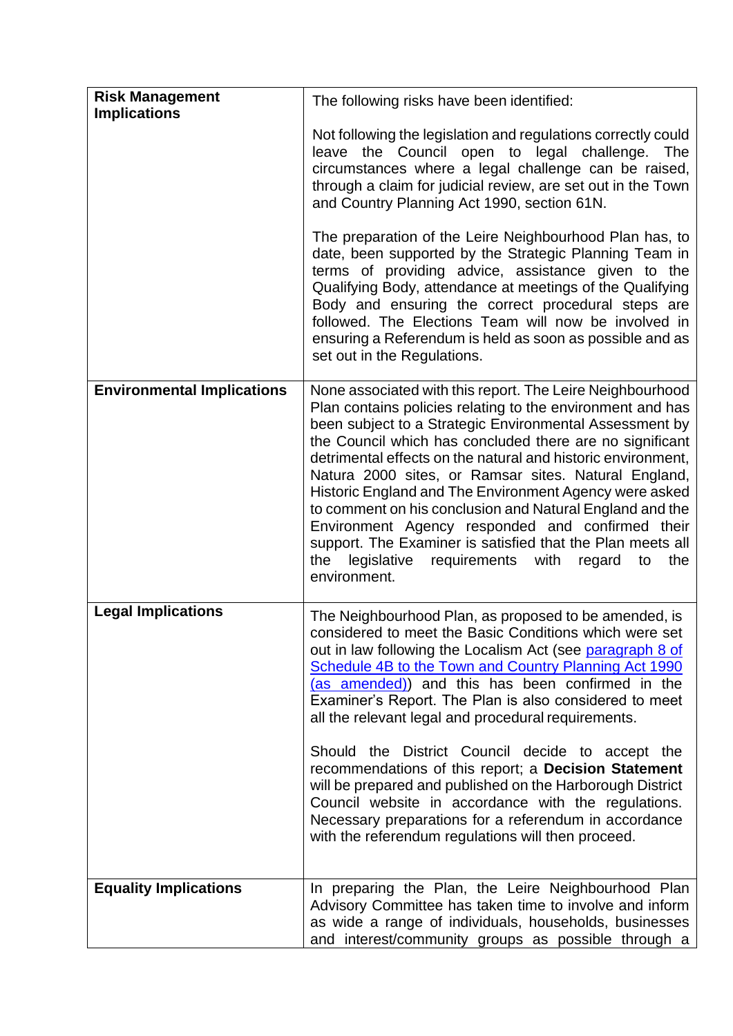| <b>Risk Management</b><br><b>Implications</b> | The following risks have been identified:                                                                                                                                                                                                                                                                                                                                                                                                                                                                                                                                                                                                                                                           |
|-----------------------------------------------|-----------------------------------------------------------------------------------------------------------------------------------------------------------------------------------------------------------------------------------------------------------------------------------------------------------------------------------------------------------------------------------------------------------------------------------------------------------------------------------------------------------------------------------------------------------------------------------------------------------------------------------------------------------------------------------------------------|
|                                               | Not following the legislation and regulations correctly could<br>leave the Council open to legal challenge.<br>The<br>circumstances where a legal challenge can be raised,<br>through a claim for judicial review, are set out in the Town<br>and Country Planning Act 1990, section 61N.                                                                                                                                                                                                                                                                                                                                                                                                           |
|                                               | The preparation of the Leire Neighbourhood Plan has, to<br>date, been supported by the Strategic Planning Team in<br>terms of providing advice, assistance given to the<br>Qualifying Body, attendance at meetings of the Qualifying<br>Body and ensuring the correct procedural steps are<br>followed. The Elections Team will now be involved in<br>ensuring a Referendum is held as soon as possible and as<br>set out in the Regulations.                                                                                                                                                                                                                                                       |
| <b>Environmental Implications</b>             | None associated with this report. The Leire Neighbourhood<br>Plan contains policies relating to the environment and has<br>been subject to a Strategic Environmental Assessment by<br>the Council which has concluded there are no significant<br>detrimental effects on the natural and historic environment,<br>Natura 2000 sites, or Ramsar sites. Natural England,<br>Historic England and The Environment Agency were asked<br>to comment on his conclusion and Natural England and the<br>Environment Agency responded and confirmed their<br>support. The Examiner is satisfied that the Plan meets all<br>the<br>legislative<br>requirements<br>with<br>the<br>regard<br>to<br>environment. |
| <b>Legal Implications</b>                     | The Neighbourhood Plan, as proposed to be amended, is<br>considered to meet the Basic Conditions which were set<br>out in law following the Localism Act (see paragraph 8 of<br>Schedule 4B to the Town and Country Planning Act 1990<br>(as amended)) and this has been confirmed in the<br>Examiner's Report. The Plan is also considered to meet<br>all the relevant legal and procedural requirements.                                                                                                                                                                                                                                                                                          |
|                                               | Should the District Council decide to accept the<br>recommendations of this report; a Decision Statement<br>will be prepared and published on the Harborough District<br>Council website in accordance with the regulations.<br>Necessary preparations for a referendum in accordance<br>with the referendum regulations will then proceed.                                                                                                                                                                                                                                                                                                                                                         |
| <b>Equality Implications</b>                  | In preparing the Plan, the Leire Neighbourhood Plan<br>Advisory Committee has taken time to involve and inform<br>as wide a range of individuals, households, businesses<br>and interest/community groups as possible through a                                                                                                                                                                                                                                                                                                                                                                                                                                                                     |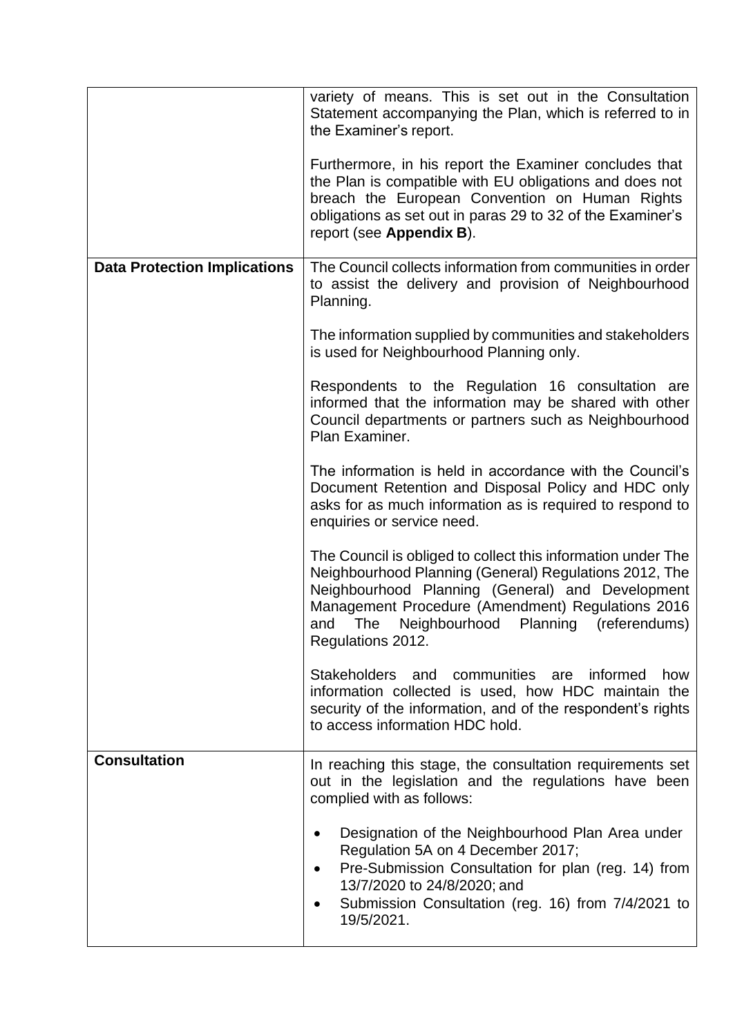|                                     | variety of means. This is set out in the Consultation<br>Statement accompanying the Plan, which is referred to in<br>the Examiner's report.<br>Furthermore, in his report the Examiner concludes that<br>the Plan is compatible with EU obligations and does not<br>breach the European Convention on Human Rights<br>obligations as set out in paras 29 to 32 of the Examiner's<br>report (see Appendix B). |
|-------------------------------------|--------------------------------------------------------------------------------------------------------------------------------------------------------------------------------------------------------------------------------------------------------------------------------------------------------------------------------------------------------------------------------------------------------------|
| <b>Data Protection Implications</b> | The Council collects information from communities in order<br>to assist the delivery and provision of Neighbourhood<br>Planning.                                                                                                                                                                                                                                                                             |
|                                     | The information supplied by communities and stakeholders<br>is used for Neighbourhood Planning only.                                                                                                                                                                                                                                                                                                         |
|                                     | Respondents to the Regulation 16 consultation are<br>informed that the information may be shared with other<br>Council departments or partners such as Neighbourhood<br>Plan Examiner.                                                                                                                                                                                                                       |
|                                     | The information is held in accordance with the Council's<br>Document Retention and Disposal Policy and HDC only<br>asks for as much information as is required to respond to<br>enquiries or service need.                                                                                                                                                                                                   |
|                                     | The Council is obliged to collect this information under The<br>Neighbourhood Planning (General) Regulations 2012, The<br>Neighbourhood Planning (General) and Development<br>Management Procedure (Amendment) Regulations 2016<br>Neighbourhood Planning (referendums)<br>The<br>and<br>Regulations 2012.                                                                                                   |
|                                     | Stakeholders<br>and<br>communities are informed<br>how<br>information collected is used, how HDC maintain the<br>security of the information, and of the respondent's rights<br>to access information HDC hold.                                                                                                                                                                                              |
| <b>Consultation</b>                 | In reaching this stage, the consultation requirements set<br>out in the legislation and the regulations have been<br>complied with as follows:                                                                                                                                                                                                                                                               |
|                                     | Designation of the Neighbourhood Plan Area under<br>٠<br>Regulation 5A on 4 December 2017;<br>Pre-Submission Consultation for plan (reg. 14) from<br>13/7/2020 to 24/8/2020; and<br>Submission Consultation (reg. 16) from 7/4/2021 to<br>19/5/2021.                                                                                                                                                         |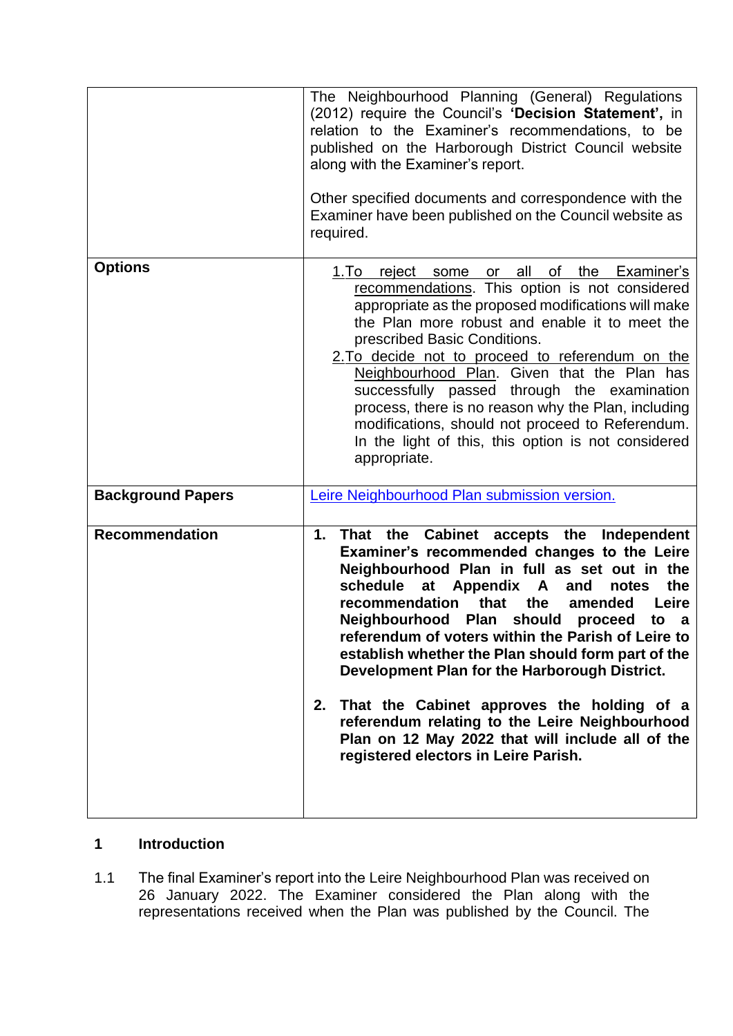|                          | The Neighbourhood Planning (General) Regulations<br>(2012) require the Council's 'Decision Statement', in<br>relation to the Examiner's recommendations, to be<br>published on the Harborough District Council website<br>along with the Examiner's report.<br>Other specified documents and correspondence with the<br>Examiner have been published on the Council website as<br>required.                                                                                                                                                                                                                                                                           |
|--------------------------|-----------------------------------------------------------------------------------------------------------------------------------------------------------------------------------------------------------------------------------------------------------------------------------------------------------------------------------------------------------------------------------------------------------------------------------------------------------------------------------------------------------------------------------------------------------------------------------------------------------------------------------------------------------------------|
| <b>Options</b>           | all<br>of<br>the<br>Examiner's<br>1.To<br>reject<br>some<br>or<br>recommendations. This option is not considered<br>appropriate as the proposed modifications will make<br>the Plan more robust and enable it to meet the<br>prescribed Basic Conditions.<br>2. To decide not to proceed to referendum on the<br>Neighbourhood Plan. Given that the Plan has<br>successfully passed through the examination<br>process, there is no reason why the Plan, including<br>modifications, should not proceed to Referendum.<br>In the light of this, this option is not considered<br>appropriate.                                                                         |
| <b>Background Papers</b> | Leire Neighbourhood Plan submission version.                                                                                                                                                                                                                                                                                                                                                                                                                                                                                                                                                                                                                          |
| <b>Recommendation</b>    | That the Cabinet accepts the Independent<br>1.<br>Examiner's recommended changes to the Leire<br>Neighbourhood Plan in full as set out in the<br>the<br>schedule<br>at<br>Appendix A<br>and<br>notes<br>Leire<br>that<br>the<br>recommendation<br>amended<br>Neighbourhood Plan should proceed<br>to a<br>referendum of voters within the Parish of Leire to<br>establish whether the Plan should form part of the<br>Development Plan for the Harborough District.<br>That the Cabinet approves the holding of a<br>2.<br>referendum relating to the Leire Neighbourhood<br>Plan on 12 May 2022 that will include all of the<br>registered electors in Leire Parish. |

### **1 Introduction**

1.1 The final Examiner's report into the Leire Neighbourhood Plan was received on 26 January 2022. The Examiner considered the Plan along with the representations received when the Plan was published by the Council. The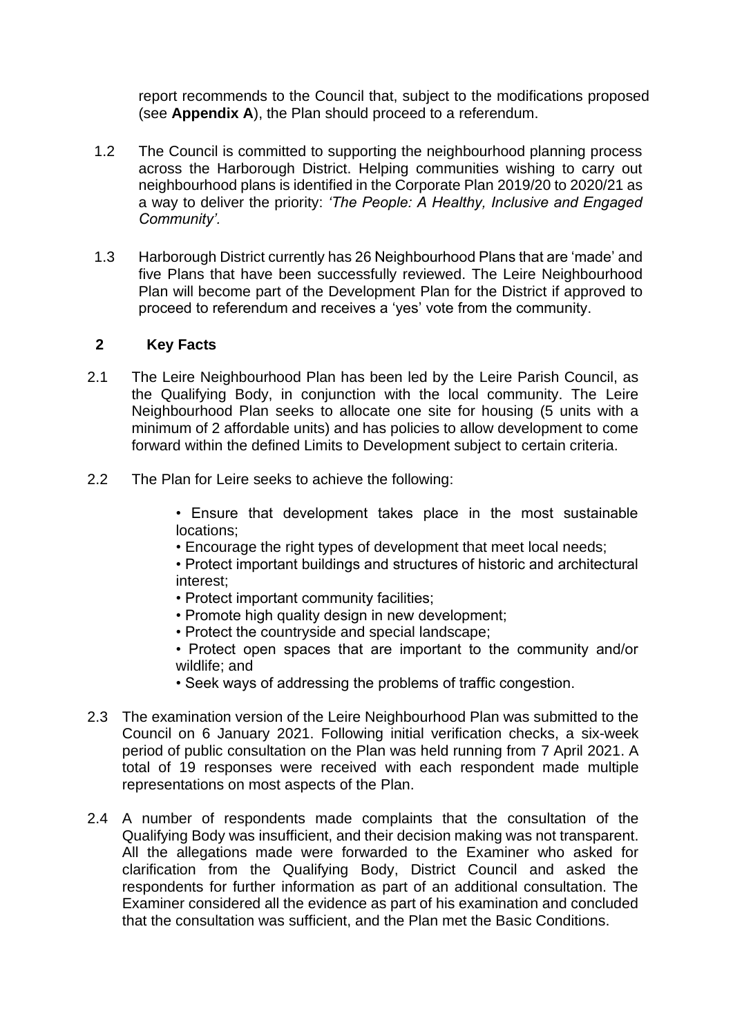report recommends to the Council that, subject to the modifications proposed (see **Appendix A**), the Plan should proceed to a referendum.

- 1.2 The Council is committed to supporting the neighbourhood planning process across the Harborough District. Helping communities wishing to carry out neighbourhood plans is identified in the Corporate Plan 2019/20 to 2020/21 as a way to deliver the priority: *'The People: A Healthy, Inclusive and Engaged Community'.*
- 1.3 Harborough District currently has 26 Neighbourhood Plans that are 'made' and five Plans that have been successfully reviewed. The Leire Neighbourhood Plan will become part of the Development Plan for the District if approved to proceed to referendum and receives a 'yes' vote from the community.

#### **2 Key Facts**

- 2.1 The Leire Neighbourhood Plan has been led by the Leire Parish Council, as the Qualifying Body, in conjunction with the local community. The Leire Neighbourhood Plan seeks to allocate one site for housing (5 units with a minimum of 2 affordable units) and has policies to allow development to come forward within the defined Limits to Development subject to certain criteria.
- 2.2 The Plan for Leire seeks to achieve the following:

• Ensure that development takes place in the most sustainable locations;

• Encourage the right types of development that meet local needs;

• Protect important buildings and structures of historic and architectural interest;

- Protect important community facilities;
- Promote high quality design in new development:
- Protect the countryside and special landscape;

• Protect open spaces that are important to the community and/or wildlife; and

• Seek ways of addressing the problems of traffic congestion.

- 2.3 The examination version of the Leire Neighbourhood Plan was submitted to the Council on 6 January 2021. Following initial verification checks, a six-week period of public consultation on the Plan was held running from 7 April 2021. A total of 19 responses were received with each respondent made multiple representations on most aspects of the Plan.
- 2.4 A number of respondents made complaints that the consultation of the Qualifying Body was insufficient, and their decision making was not transparent. All the allegations made were forwarded to the Examiner who asked for clarification from the Qualifying Body, District Council and asked the respondents for further information as part of an additional consultation. The Examiner considered all the evidence as part of his examination and concluded that the consultation was sufficient, and the Plan met the Basic Conditions.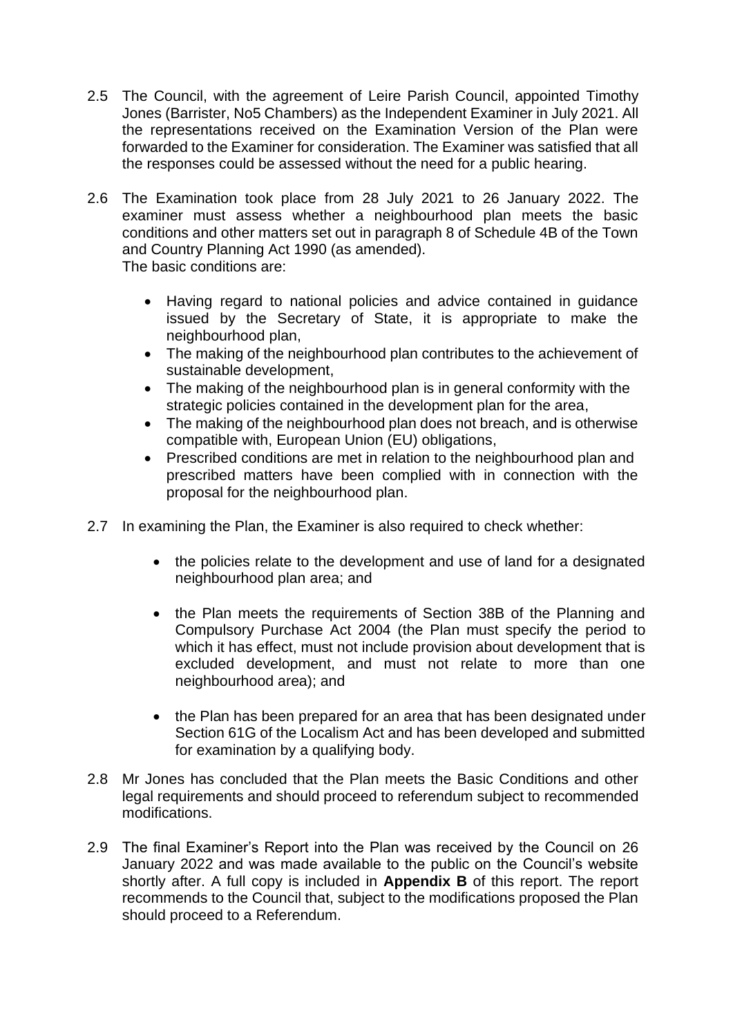- 2.5 The Council, with the agreement of Leire Parish Council, appointed Timothy Jones (Barrister, No5 Chambers) as the Independent Examiner in July 2021. All the representations received on the Examination Version of the Plan were forwarded to the Examiner for consideration. The Examiner was satisfied that all the responses could be assessed without the need for a public hearing.
- 2.6 The Examination took place from 28 July 2021 to 26 January 2022. The examiner must assess whether a neighbourhood plan meets the basic conditions and other matters set out in paragraph 8 of Schedule 4B of the Town and Country Planning Act 1990 (as amended). The basic conditions are:
	- Having regard to national policies and advice contained in guidance issued by the Secretary of State, it is appropriate to make the neighbourhood plan,
	- The making of the neighbourhood plan contributes to the achievement of sustainable development,
	- The making of the neighbourhood plan is in general conformity with the strategic policies contained in the development plan for the area,
	- The making of the neighbourhood plan does not breach, and is otherwise compatible with, European Union (EU) obligations,
	- Prescribed conditions are met in relation to the neighbourhood plan and prescribed matters have been complied with in connection with the proposal for the neighbourhood plan.
- 2.7 In examining the Plan, the Examiner is also required to check whether:
	- the policies relate to the development and use of land for a designated neighbourhood plan area; and
	- the Plan meets the requirements of Section 38B of the Planning and Compulsory Purchase Act 2004 (the Plan must specify the period to which it has effect, must not include provision about development that is excluded development, and must not relate to more than one neighbourhood area); and
	- the Plan has been prepared for an area that has been designated under Section 61G of the Localism Act and has been developed and submitted for examination by a qualifying body.
- 2.8 Mr Jones has concluded that the Plan meets the Basic Conditions and other legal requirements and should proceed to referendum subject to recommended modifications.
- 2.9 The final Examiner's Report into the Plan was received by the Council on 26 January 2022 and was made available to the public on the Council's website shortly after. A full copy is included in **Appendix B** of this report. The report recommends to the Council that, subject to the modifications proposed the Plan should proceed to a Referendum.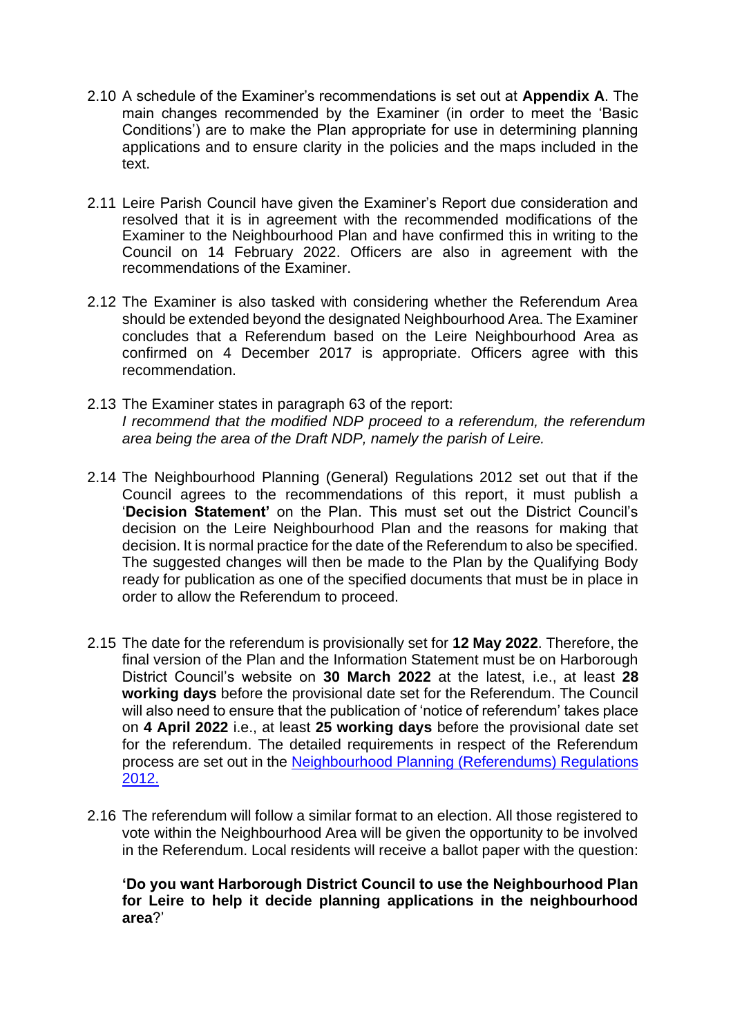- 2.10 A schedule of the Examiner's recommendations is set out at **Appendix A**. The main changes recommended by the Examiner (in order to meet the 'Basic Conditions') are to make the Plan appropriate for use in determining planning applications and to ensure clarity in the policies and the maps included in the text
- 2.11 Leire Parish Council have given the Examiner's Report due consideration and resolved that it is in agreement with the recommended modifications of the Examiner to the Neighbourhood Plan and have confirmed this in writing to the Council on 14 February 2022. Officers are also in agreement with the recommendations of the Examiner.
- 2.12 The Examiner is also tasked with considering whether the Referendum Area should be extended beyond the designated Neighbourhood Area. The Examiner concludes that a Referendum based on the Leire Neighbourhood Area as confirmed on 4 December 2017 is appropriate. Officers agree with this recommendation.
- 2.13 The Examiner states in paragraph 63 of the report: *I recommend that the modified NDP proceed to a referendum, the referendum area being the area of the Draft NDP, namely the parish of Leire.*
- 2.14 The Neighbourhood Planning (General) Regulations 2012 set out that if the Council agrees to the recommendations of this report, it must publish a '**Decision Statement'** on the Plan. This must set out the District Council's decision on the Leire Neighbourhood Plan and the reasons for making that decision. It is normal practice for the date of the Referendum to also be specified. The suggested changes will then be made to the Plan by the Qualifying Body ready for publication as one of the specified documents that must be in place in order to allow the Referendum to proceed.
- 2.15 The date for the referendum is provisionally set for **12 May 2022**. Therefore, the final version of the Plan and the Information Statement must be on Harborough District Council's website on **30 March 2022** at the latest, i.e., at least **28 working days** before the provisional date set for the Referendum. The Council will also need to ensure that the publication of 'notice of referendum' takes place on **4 April 2022** i.e., at least **25 working days** before the provisional date set for the referendum. The detailed requirements in respect of the Referendum process are set out in the [Neighbourhood Planning \(Referendums\) Regulations](http://www.legislation.gov.uk/uksi/2012/637/contents/made) [2012.](http://www.legislation.gov.uk/uksi/2012/637/contents/made)
- 2.16 The referendum will follow a similar format to an election. All those registered to vote within the Neighbourhood Area will be given the opportunity to be involved in the Referendum. Local residents will receive a ballot paper with the question:

**'Do you want Harborough District Council to use the Neighbourhood Plan for Leire to help it decide planning applications in the neighbourhood area**?'